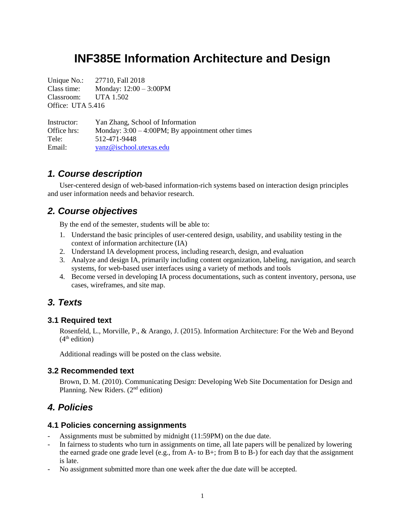# **INF385E Information Architecture and Design**

Unique No.: 27710, Fall 2018 Class time: Monday:  $12:00 - 3:00$ PM Classroom: UTA 1.502 Office: UTA 5.416

Instructor: Yan Zhang, School of Information Office hrs: Monday: 3:00 – 4:00PM; By appointment other times Tele: 512-471-9448 Email: [yanz@ischool.utexas.edu](mailto:yanz@ischool.utexas.edu)

# *1. Course description*

User-centered design of web-based information-rich systems based on interaction design principles and user information needs and behavior research.

# *2. Course objectives*

By the end of the semester, students will be able to:

- 1. Understand the basic principles of user-centered design, usability, and usability testing in the context of information architecture (IA)
- 2. Understand IA development process, including research, design, and evaluation
- 3. Analyze and design IA, primarily including content organization, labeling, navigation, and search systems, for web-based user interfaces using a variety of methods and tools
- 4. Become versed in developing IA process documentations, such as content inventory, persona, use cases, wireframes, and site map.

# *3. Texts*

### **3.1 Required text**

Rosenfeld, L., Morville, P., & Arango, J. (2015). Information Architecture: For the Web and Beyond  $(4<sup>th</sup>$  edition)

Additional readings will be posted on the class website.

### **3.2 Recommended text**

Brown, D. M. (2010). Communicating Design: Developing Web Site Documentation for Design and Planning. New Riders. (2nd edition)

# *4. Policies*

### **4.1 Policies concerning assignments**

- Assignments must be submitted by midnight (11:59PM) on the due date.
- In fairness to students who turn in assignments on time, all late papers will be penalized by lowering the earned grade one grade level (e.g., from A- to B+; from B to B-) for each day that the assignment is late.
- No assignment submitted more than one week after the due date will be accepted.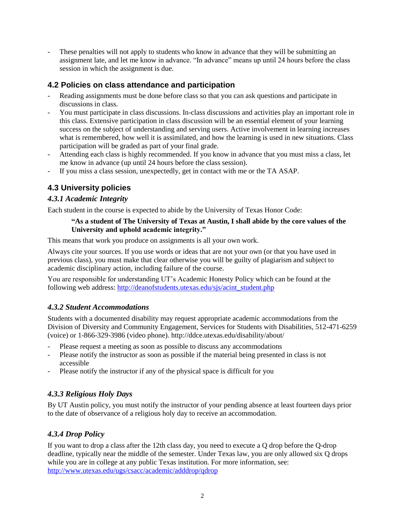These penalties will not apply to students who know in advance that they will be submitting an assignment late, and let me know in advance. "In advance" means up until 24 hours before the class session in which the assignment is due.

# **4.2 Policies on class attendance and participation**

- Reading assignments must be done before class so that you can ask questions and participate in discussions in class.
- You must participate in class discussions. In-class discussions and activities play an important role in this class. Extensive participation in class discussion will be an essential element of your learning success on the subject of understanding and serving users. Active involvement in learning increases what is remembered, how well it is assimilated, and how the learning is used in new situations. Class participation will be graded as part of your final grade.
- Attending each class is highly recommended. If you know in advance that you must miss a class, let me know in advance (up until 24 hours before the class session).
- If you miss a class session, unexpectedly, get in contact with me or the TA ASAP.

# **4.3 University policies**

## *4.3.1 Academic Integrity*

Each student in the course is expected to abide by the University of Texas Honor Code:

#### **"As a student of The University of Texas at Austin, I shall abide by the core values of the University and uphold academic integrity."**

This means that work you produce on assignments is all your own work.

Always cite your sources. If you use words or ideas that are not your own (or that you have used in previous class), you must make that clear otherwise you will be guilty of plagiarism and subject to academic disciplinary action, including failure of the course.

You are responsible for understanding UT's Academic Honesty Policy which can be found at the following web address: [http://deanofstudents.utexas.edu/sjs/acint\\_student.php](http://deanofstudents.utexas.edu/sjs/acint_student.php)

## *4.3.2 Student Accommodations*

Students with a documented disability may request appropriate academic accommodations from the Division of Diversity and Community Engagement, Services for Students with Disabilities, 512-471-6259 (voice) or 1-866-329-3986 (video phone). http://ddce.utexas.edu/disability/about/

- Please request a meeting as soon as possible to discuss any accommodations
- Please notify the instructor as soon as possible if the material being presented in class is not accessible
- Please notify the instructor if any of the physical space is difficult for you

## *4.3.3 Religious Holy Days*

By UT Austin policy, you must notify the instructor of your pending absence at least fourteen days prior to the date of observance of a religious holy day to receive an accommodation.

## *4.3.4 Drop Policy*

If you want to drop a class after the 12th class day, you need to execute a Q drop before the Q-drop deadline, typically near the middle of the semester. Under Texas law, you are only allowed six Q drops while you are in college at any public Texas institution. For more information, see: <http://www.utexas.edu/ugs/csacc/academic/adddrop/qdrop>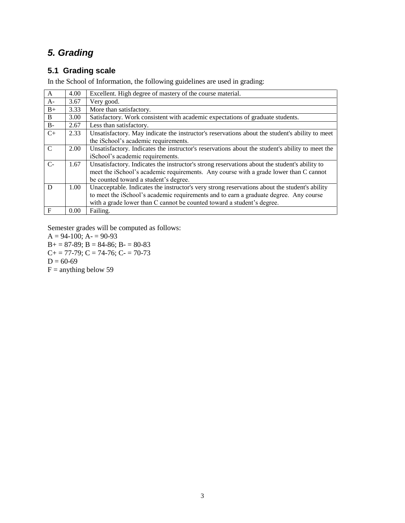# *5. Grading*

# **5.1 Grading scale**

In the School of Information, the following guidelines are used in grading:

| A             | 4.00 | Excellent. High degree of mastery of the course material.                                       |
|---------------|------|-------------------------------------------------------------------------------------------------|
| $A-$          | 3.67 | Very good.                                                                                      |
| $B+$          | 3.33 | More than satisfactory.                                                                         |
| B             | 3.00 | Satisfactory. Work consistent with academic expectations of graduate students.                  |
| $B -$         | 2.67 | Less than satisfactory.                                                                         |
| $C+$          | 2.33 | Unsatisfactory. May indicate the instructor's reservations about the student's ability to meet  |
|               |      | the iSchool's academic requirements.                                                            |
| $\mathcal{C}$ | 2.00 | Unsatisfactory. Indicates the instructor's reservations about the student's ability to meet the |
|               |      | iSchool's academic requirements.                                                                |
| $C$ -         | 1.67 | Unsatisfactory. Indicates the instructor's strong reservations about the student's ability to   |
|               |      | meet the iSchool's academic requirements. Any course with a grade lower than C cannot           |
|               |      | be counted toward a student's degree.                                                           |
| D             | 1.00 | Unacceptable. Indicates the instructor's very strong reservations about the student's ability   |
|               |      | to meet the iSchool's academic requirements and to earn a graduate degree. Any course           |
|               |      | with a grade lower than C cannot be counted toward a student's degree.                          |
| $\mathbf{F}$  | 0.00 | Failing.                                                                                        |

Semester grades will be computed as follows:

 $A = 94-100$ ;  $A = 90-93$  $B+= 87-89$ ;  $B = 84-86$ ;  $B = 80-83$  $C+= 77-79$ ;  $C = 74-76$ ;  $C = 70-73$  $D = 60 - 69$  $F =$  anything below 59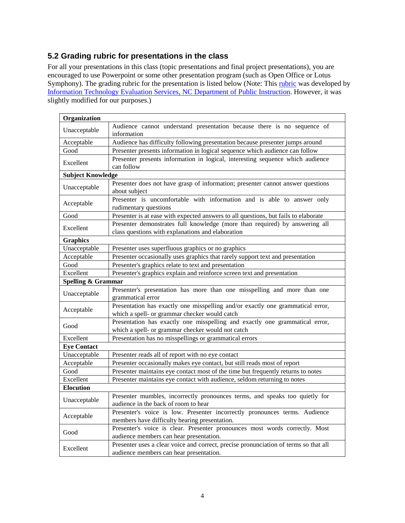# **5.2 Grading rubric for presentations in the class**

For all your presentations in this class (topic presentations and final project presentations), you are encouraged to use Powerpoint or some other presentation program (such as Open Office or Lotus Symphony). The grading [rubric](http://www.ncsu.edu/midlink/rub.pres.html) for the presentation is listed below (Note: This rubric was developed by [Information Technology Evaluation Services, NC Department of Public Instruction.](http://www.ncpublicschools.org/) However, it was slightly modified for our purposes.)

| Organization                                                                          |                                                                                                                                  |  |  |  |  |
|---------------------------------------------------------------------------------------|----------------------------------------------------------------------------------------------------------------------------------|--|--|--|--|
| Unacceptable                                                                          | Audience cannot understand presentation because there is no sequence of<br>information                                           |  |  |  |  |
| Acceptable                                                                            | Audience has difficulty following presentation because presenter jumps around                                                    |  |  |  |  |
| Good                                                                                  | Presenter presents information in logical sequence which audience can follow                                                     |  |  |  |  |
| Excellent                                                                             | Presenter presents information in logical, interesting sequence which audience<br>can follow                                     |  |  |  |  |
| <b>Subject Knowledge</b>                                                              |                                                                                                                                  |  |  |  |  |
| Unacceptable                                                                          | Presenter does not have grasp of information; presenter cannot answer questions<br>about subject                                 |  |  |  |  |
| Acceptable                                                                            | Presenter is uncomfortable with information and is able to answer only<br>rudimentary questions                                  |  |  |  |  |
| Good                                                                                  | Presenter is at ease with expected answers to all questions, but fails to elaborate                                              |  |  |  |  |
| Excellent                                                                             | Presenter demonstrates full knowledge (more than required) by answering all<br>class questions with explanations and elaboration |  |  |  |  |
| <b>Graphics</b>                                                                       |                                                                                                                                  |  |  |  |  |
| Unacceptable                                                                          | Presenter uses superfluous graphics or no graphics                                                                               |  |  |  |  |
| Acceptable                                                                            | Presenter occasionally uses graphics that rarely support text and presentation                                                   |  |  |  |  |
| Good<br>Presenter's graphics relate to text and presentation                          |                                                                                                                                  |  |  |  |  |
| Excellent                                                                             | Presenter's graphics explain and reinforce screen text and presentation                                                          |  |  |  |  |
| <b>Spelling &amp; Grammar</b>                                                         |                                                                                                                                  |  |  |  |  |
| Unacceptable                                                                          | Presenter's presentation has more than one misspelling and more than one<br>grammatical error                                    |  |  |  |  |
| Acceptable                                                                            | Presentation has exactly one misspelling and/or exactly one grammatical error,<br>which a spell- or grammar checker would catch  |  |  |  |  |
| Good                                                                                  | Presentation has exactly one misspelling and exactly one grammatical error,<br>which a spell- or grammar checker would not catch |  |  |  |  |
| Excellent                                                                             | Presentation has no misspellings or grammatical errors                                                                           |  |  |  |  |
| <b>Eye Contact</b>                                                                    |                                                                                                                                  |  |  |  |  |
| Unacceptable                                                                          | Presenter reads all of report with no eye contact                                                                                |  |  |  |  |
| Acceptable                                                                            | Presenter occasionally makes eye contact, but still reads most of report                                                         |  |  |  |  |
| Good                                                                                  | Presenter maintains eye contact most of the time but frequently returns to notes                                                 |  |  |  |  |
| Excellent<br>Presenter maintains eye contact with audience, seldom returning to notes |                                                                                                                                  |  |  |  |  |
| <b>Elocution</b>                                                                      |                                                                                                                                  |  |  |  |  |
| Unacceptable                                                                          | Presenter mumbles, incorrectly pronounces terms, and speaks too quietly for<br>audience in the back of room to hear              |  |  |  |  |
| Acceptable                                                                            | Presenter's voice is low. Presenter incorrectly pronounces terms. Audience<br>members have difficulty hearing presentation.      |  |  |  |  |
| Good                                                                                  | Presenter's voice is clear. Presenter pronounces most words correctly. Most<br>audience members can hear presentation.           |  |  |  |  |
| Excellent                                                                             | Presenter uses a clear voice and correct, precise pronunciation of terms so that all<br>audience members can hear presentation.  |  |  |  |  |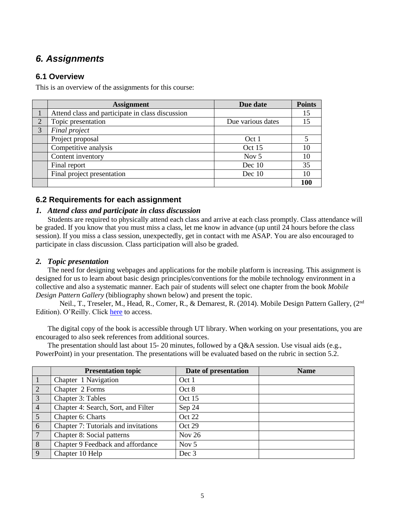# *6. Assignments*

## **6.1 Overview**

This is an overview of the assignments for this course:

|   | <b>Assignment</b>                                | Due date          | <b>Points</b> |
|---|--------------------------------------------------|-------------------|---------------|
|   | Attend class and participate in class discussion |                   | 15            |
| 2 | Topic presentation                               | Due various dates | 15            |
| 3 | Final project                                    |                   |               |
|   | Project proposal                                 | Oct 1             |               |
|   | Competitive analysis                             | Oct 15            | 10            |
|   | Content inventory                                | Nov $5$           | 10            |
|   | Final report                                     | Dec 10            | 35            |
|   | Final project presentation                       | Dec 10            | 10            |
|   |                                                  |                   | 100           |

## **6.2 Requirements for each assignment**

#### *1. Attend class and participate in class discussion*

Students are required to physically attend each class and arrive at each class promptly. Class attendance will be graded. If you know that you must miss a class, let me know in advance (up until 24 hours before the class session). If you miss a class session, unexpectedly, get in contact with me ASAP. You are also encouraged to participate in class discussion. Class participation will also be graded.

#### *2. Topic presentation*

The need for designing webpages and applications for the mobile platform is increasing. This assignment is designed for us to learn about basic design principles/conventions for the mobile technology environment in a collective and also a systematic manner. Each pair of students will select one chapter from the book *Mobile Design Pattern Gallery* (bibliography shown below) and present the topic.

Neil., T., Treseler, M., Head, R., Comer, R., & Demarest, R. (2014). Mobile Design Pattern Gallery, (2<sup>nd</sup> Edition). O'Reilly. Click [here](http://ebookcentral.proquest.com.ezproxy.lib.utexas.edu/lib/UTXA/detail.action?docID=1680054) to access.

The digital copy of the book is accessible through UT library. When working on your presentations, you are encouraged to also seek references from additional sources.

The presentation should last about 15-20 minutes, followed by a Q&A session. Use visual aids (e.g., PowerPoint) in your presentation. The presentations will be evaluated based on the rubric in section 5.2.

|                | <b>Presentation topic</b>            | Date of presentation | <b>Name</b> |
|----------------|--------------------------------------|----------------------|-------------|
| $\vert$ 1      | Chapter 1 Navigation                 | Oct 1                |             |
| $\overline{2}$ | Chapter 2 Forms                      | Oct 8                |             |
| $\overline{3}$ | Chapter 3: Tables                    | Oct 15               |             |
| $\overline{4}$ | Chapter 4: Search, Sort, and Filter  | Sep 24               |             |
| $\overline{5}$ | Chapter 6: Charts                    | Oct 22               |             |
| $\overline{6}$ | Chapter 7: Tutorials and invitations | Oct 29               |             |
| $\overline{7}$ | Chapter 8: Social patterns           | <b>Nov 26</b>        |             |
| $\sqrt{8}$     | Chapter 9 Feedback and affordance    | Nov $5$              |             |
| $\overline{9}$ | Chapter 10 Help                      | Dec 3                |             |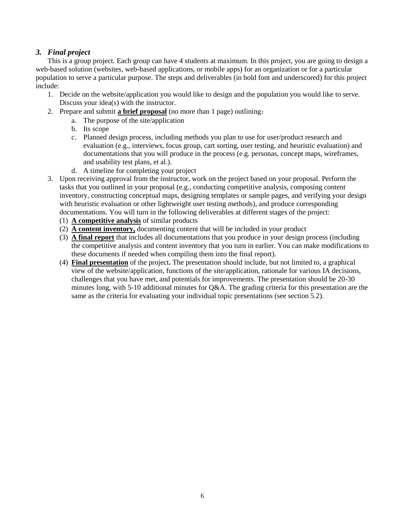## *3. Final project*

This is a group project. Each group can have 4 students at maximum. In this project, you are going to design a web-based solution (websites, web-based applications, or mobile apps) for an organization or for a particular population to serve a particular purpose. The steps and deliverables (in bold font and underscored) for this project include:

- 1. Decide on the website/application you would like to design and the population you would like to serve. Discuss your idea(s) with the instructor.
- 2. Prepare and submit **a brief proposal** (no more than 1 page) outlining:
	- a. The purpose of the site/application
	- b. Its scope
	- c. Planned design process, including methods you plan to use for user/product research and evaluation (e.g., interviews, focus group, cart sorting, user testing, and heuristic evaluation) and documentations that you will produce in the process (e.g. personas, concept maps, wireframes, and usability test plans, et al.).
	- d. A timeline for completing your project
- 3. Upon receiving approval from the instructor, work on the project based on your proposal. Perform the tasks that you outlined in your proposal (e.g., conducting competitive analysis, composing content inventory, constructing conceptual maps, designing templates or sample pages, and verifying your design with heuristic evaluation or other lightweight user testing methods), and produce corresponding documentations. You will turn in the following deliverables at different stages of the project:
	- (1) **A competitive analysis** of similar products
	- (2) **A content inventory,** documenting content that will be included in your product
	- (3) **A final report** that includes all documentations that you produce in your design process (including the competitive analysis and content inventory that you turn in earlier. You can make modifications to these documents if needed when compiling them into the final report).
	- (4) **Final presentation** of the project**.** The presentation should include, but not limited to, a graphical view of the website/application, functions of the site/application, rationale for various IA decisions, challenges that you have met, and potentials for improvements. The presentation should be 20-30 minutes long, with 5-10 additional minutes for Q&A. The grading criteria for this presentation are the same as the criteria for evaluating your individual topic presentations (see section 5.2).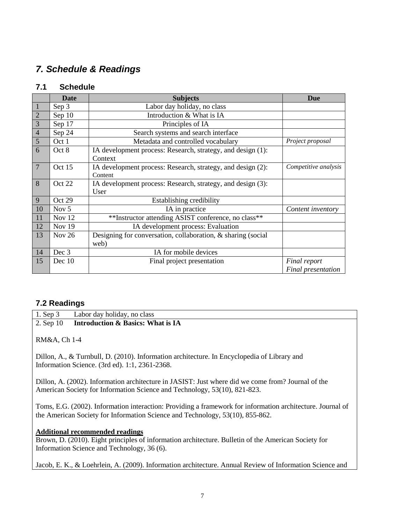# *7. Schedule & Readings*

## **7.1 Schedule**

|                | <b>Date</b>      | <b>Subjects</b>                                                        | <b>Due</b>           |
|----------------|------------------|------------------------------------------------------------------------|----------------------|
| $\mathbf{1}$   | Sep 3            | Labor day holiday, no class                                            |                      |
| $\overline{2}$ | Sep $10$         | Introduction & What is IA                                              |                      |
| $\overline{3}$ | Sep 17           | Principles of IA                                                       |                      |
| $\overline{4}$ | Sep 24           | Search systems and search interface                                    |                      |
| 5              | Oct 1            | Metadata and controlled vocabulary                                     | Project proposal     |
| 6              | Oct 8            | IA development process: Research, strategy, and design (1):            |                      |
|                |                  | Context                                                                |                      |
| $\overline{7}$ | Oct 15           | IA development process: Research, strategy, and design (2):<br>Content | Competitive analysis |
| 8              | Oct 22           | IA development process: Research, strategy, and design (3):            |                      |
|                |                  | User                                                                   |                      |
| 9              | Oct 29           | Establishing credibility                                               |                      |
| 10             | Nov <sub>5</sub> | IA in practice                                                         | Content inventory    |
| 11             | Nov 12           | **Instructor attending ASIST conference, no class**                    |                      |
| 12             | <b>Nov 19</b>    | IA development process: Evaluation                                     |                      |
| 13             | Nov $26$         | Designing for conversation, collaboration, & sharing (social           |                      |
|                |                  | web)                                                                   |                      |
| 14             | Dec 3            | IA for mobile devices                                                  |                      |
| 15             | Dec 10           | Final project presentation                                             | Final report         |
|                |                  |                                                                        | Final presentation   |

## **7.2 Readings**

1. Sep 3 Labor day holiday, no class 2. Sep 10 **Introduction & Basics: What is IA**

RM&A, Ch 1-4

Dillon, A., & Turnbull, D. (2010). Information architecture. In Encyclopedia of Library and Information Science. (3rd ed). 1:1, 2361-2368.

Dillon, A. (2002). Information architecture in JASIST: Just where did we come from? Journal of the American Society for Information Science and Technology, 53(10), 821-823.

Toms, E.G. (2002). Information interaction: Providing a framework for information architecture. Journal of the American Society for Information Science and Technology, 53(10), 855-862.

### **Additional recommended readings**

Brown, D. (2010). Eight principles of information architecture. Bulletin of the American Society for Information Science and Technology, 36 (6).

Jacob, E. K., & Loehrlein, A. (2009). Information architecture. Annual Review of Information Science and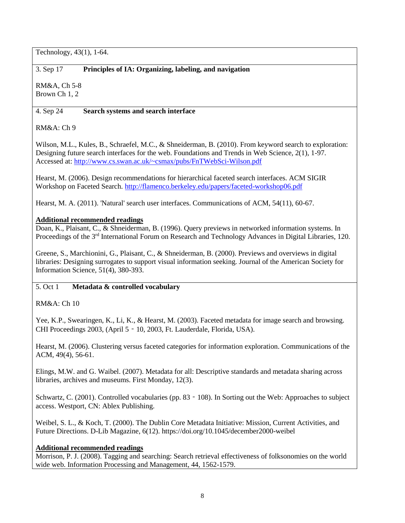Technology, 43(1), 1-64.

## 3. Sep 17 **Principles of IA: Organizing, labeling, and navigation**

RM&A, Ch 5-8 Brown Ch 1, 2

### 4. Sep 24 **Search systems and search interface**

RM&A: Ch 9

Wilson, M.L., Kules, B., Schraefel, M.C., & Shneiderman, B. (2010). From keyword search to exploration: Designing future search interfaces for the web. Foundations and Trends in Web Science, 2(1), 1-97. Accessed at:<http://www.cs.swan.ac.uk/~csmax/pubs/FnTWebSci-Wilson.pdf>

Hearst, M. (2006). Design recommendations for hierarchical faceted search interfaces. ACM SIGIR Workshop on Faceted Search.<http://flamenco.berkeley.edu/papers/faceted-workshop06.pdf>

Hearst, M. A. (2011). 'Natural' search user interfaces. Communications of ACM, 54(11), 60-67.

### **Additional recommended readings**

Doan, K., Plaisant, C., & Shneiderman, B. (1996). Query previews in networked information systems. In Proceedings of the 3<sup>rd</sup> International Forum on Research and Technology Advances in Digital Libraries, 120.

Greene, S., Marchionini, G., Plaisant, C., & Shneiderman, B. (2000). Previews and overviews in digital libraries: Designing surrogates to support visual information seeking. Journal of the American Society for Information Science, 51(4), 380-393.

### 5. Oct 1 **Metadata & controlled vocabulary**

RM&A: Ch 10

Yee, K.P., Swearingen, K., Li, K., & Hearst, M. (2003). Faceted metadata for image search and browsing. CHI Proceedings 2003, (April 5‐10, 2003, Ft. Lauderdale, Florida, USA).

Hearst, M. (2006). Clustering versus faceted categories for information exploration. Communications of the ACM, 49(4), 56-61.

Elings, M.W. and G. Waibel. (2007). Metadata for all: Descriptive standards and metadata sharing across libraries, archives and museums. First Monday, 12(3).

Schwartz, C. (2001). Controlled vocabularies (pp. 83 - 108). In Sorting out the Web: Approaches to subject access. Westport, CN: Ablex Publishing.

Weibel, S. L., & Koch, T. (2000). The Dublin Core Metadata Initiative: Mission, Current Activities, and Future Directions. D-Lib Magazine, 6(12). https://doi.org/10.1045/december2000-weibel

### **Additional recommended readings**

Morrison, P. J. (2008). Tagging and searching: Search retrieval effectiveness of folksonomies on the world wide web. Information Processing and Management, 44, 1562-1579.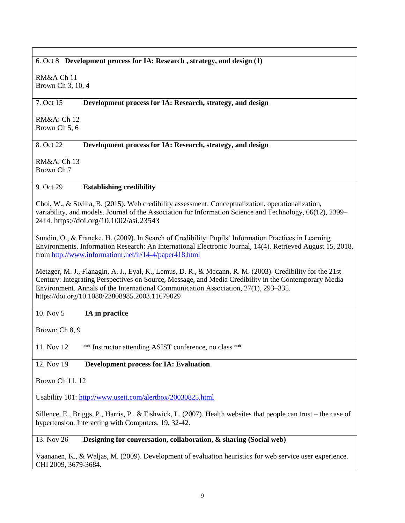#### 6. Oct 8 **Development process for IA: Research , strategy, and design (1)**

RM&A Ch 11 Brown Ch 3, 10, 4

#### 7. Oct 15 **Development process for IA: Research, strategy, and design**

RM&A: Ch 12 Brown Ch 5, 6

#### 8. Oct 22 **Development process for IA: Research, strategy, and design**

RM&A: Ch 13 Brown Ch 7

#### 9. Oct 29 **Establishing credibility**

Choi, W., & Stvilia, B. (2015). Web credibility assessment: Conceptualization, operationalization, variability, and models. Journal of the Association for Information Science and Technology, 66(12), 2399– 2414. <https://doi.org/10.1002/asi.23543>

Sundin, O., & Francke, H. (2009). In Search of Credibility: Pupils' Information Practices in Learning Environments. Information Research: An International Electronic Journal, 14(4). Retrieved August 15, 2018, from<http://www.informationr.net/ir/14-4/paper418.html>

Metzger, M. J., Flanagin, A. J., Eyal, K., Lemus, D. R., & Mccann, R. M. (2003). Credibility for the 21st Century: Integrating Perspectives on Source, Message, and Media Credibility in the Contemporary Media Environment. Annals of the International Communication Association, 27(1), 293–335. https://doi.org/10.1080/23808985.2003.11679029

### 10. Nov 5 **IA in practice**

Brown: Ch 8, 9

11. Nov 12 \*\* Instructor attending ASIST conference, no class \*\*

12. Nov 19 **Development process for IA: Evaluation** 

Brown Ch 11, 12

Usability 101:<http://www.useit.com/alertbox/20030825.html>

Sillence, E., Briggs, P., Harris, P., & Fishwick, L. (2007). Health websites that people can trust – the case of hypertension. Interacting with Computers, 19, 32-42.

#### 13. Nov 26 **Designing for conversation, collaboration, & sharing (Social web)**

Vaananen, K., & Waljas, M. (2009). Development of evaluation heuristics for web service user experience. CHI 2009, 3679-3684.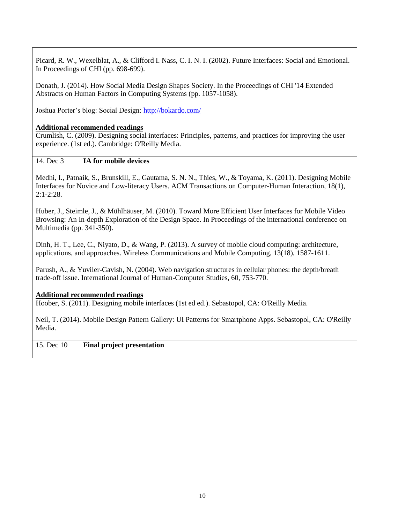Picard, R. W., Wexelblat, A., & Clifford I. Nass, C. I. N. I. (2002). Future Interfaces: Social and Emotional. In Proceedings of CHI (pp. 698-699).

Donath, J. (2014). How Social Media Design Shapes Society. In the Proceedings of CHI '14 Extended Abstracts on Human Factors in Computing Systems (pp. 1057-1058).

Joshua Porter's blog: Social Design:<http://bokardo.com/>

#### **Additional recommended readings**

Crumlish, C. (2009). Designing social interfaces: Principles, patterns, and practices for improving the user experience. (1st ed.). Cambridge: O'Reilly Media.

## 14. Dec 3 **IA for mobile devices**

Medhi, I., Patnaik, S., Brunskill, E., Gautama, S. N. N., Thies, W., & Toyama, K. (2011). Designing Mobile Interfaces for Novice and Low-literacy Users. ACM Transactions on Computer-Human Interaction, 18(1),  $2:1-2:28$ .

Huber, J., Steimle, J., & Mühlhäuser, M. (2010). Toward More Efficient User Interfaces for Mobile Video Browsing: An In-depth Exploration of the Design Space. In Proceedings of the international conference on Multimedia (pp. 341-350).

Dinh, H. T., Lee, C., Niyato, D., & Wang, P. (2013). A survey of mobile cloud computing: architecture, applications, and approaches. Wireless Communications and Mobile Computing, 13(18), 1587-1611.

Parush, A., & Yuviler-Gavish, N. (2004). Web navigation structures in cellular phones: the depth/breath trade-off issue. International Journal of Human-Computer Studies, 60, 753-770.

#### **Additional recommended readings**

Hoober, S. (2011). Designing mobile interfaces (1st ed ed.). Sebastopol, CA: O'Reilly Media.

Neil, T. (2014). Mobile Design Pattern Gallery: UI Patterns for Smartphone Apps. Sebastopol, CA: O'Reilly Media.

#### 15. Dec 10 **Final project presentation**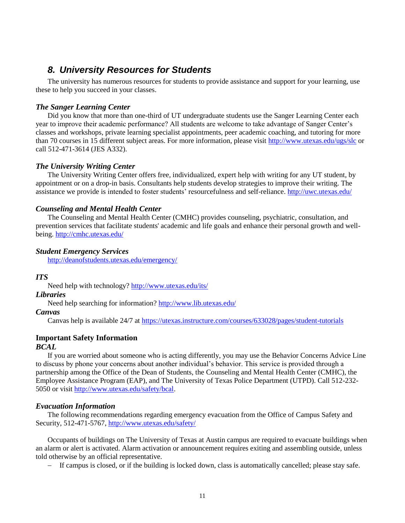# *8. University Resources for Students*

The university has numerous resources for students to provide assistance and support for your learning, use these to help you succeed in your classes.

#### *The Sanger Learning Center*

Did you know that more than one-third of UT undergraduate students use the Sanger Learning Center each year to improve their academic performance? All students are welcome to take advantage of Sanger Center's classes and workshops, private learning specialist appointments, peer academic coaching, and tutoring for more than 70 courses in 15 different subject areas. For more information, please visit<http://www.utexas.edu/ugs/slc> or call 512-471-3614 (JES A332).

#### *The University Writing Center*

The University Writing Center offers free, individualized, expert help with writing for any UT student, by appointment or on a drop-in basis. Consultants help students develop strategies to improve their writing. The assistance we provide is intended to foster students' resourcefulness and self-reliance[. http://uwc.utexas.edu/](http://uwc.utexas.edu/)

#### *Counseling and Mental Health Center*

The Counseling and Mental Health Center (CMHC) provides counseling, psychiatric, consultation, and prevention services that facilitate students' academic and life goals and enhance their personal growth and wellbeing. <http://cmhc.utexas.edu/>

#### *Student Emergency Services*

<http://deanofstudents.utexas.edu/emergency/>

#### *ITS*

Need help with technology?<http://www.utexas.edu/its/>

#### *Libraries*

Need help searching for information[? http://www.lib.utexas.edu/](http://www.lib.utexas.edu/)

#### *Canvas*

Canvas help is available 24/7 at<https://utexas.instructure.com/courses/633028/pages/student-tutorials>

#### **Important Safety Information**

#### *BCAL*

If you are worried about someone who is acting differently, you may use the Behavior Concerns Advice Line to discuss by phone your concerns about another individual's behavior. This service is provided through a partnership among the Office of the Dean of Students, the Counseling and Mental Health Center (CMHC), the Employee Assistance Program (EAP), and The University of Texas Police Department (UTPD). Call 512-232- 5050 or visit [http://www.utexas.edu/safety/bcal.](http://www.utexas.edu/safety/bcal)

#### *Evacuation Information*

The following recommendations regarding emergency evacuation from the Office of Campus Safety and Security, 512-471-5767,<http://www.utexas.edu/safety/>

Occupants of buildings on The University of Texas at Austin campus are required to evacuate buildings when an alarm or alert is activated. Alarm activation or announcement requires exiting and assembling outside, unless told otherwise by an official representative.

- If campus is closed, or if the building is locked down, class is automatically cancelled; please stay safe.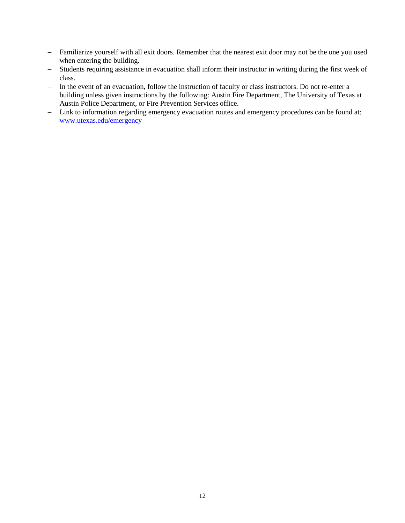- Familiarize yourself with all exit doors. Remember that the nearest exit door may not be the one you used when entering the building.
- Students requiring assistance in evacuation shall inform their instructor in writing during the first week of class.
- In the event of an evacuation, follow the instruction of faculty or class instructors. Do not re-enter a building unless given instructions by the following: Austin Fire Department, The University of Texas at Austin Police Department, or Fire Prevention Services office.
- Link to information regarding emergency evacuation routes and emergency procedures can be found at: [www.utexas.edu/emergency](http://www.utexas.edu/emergency)